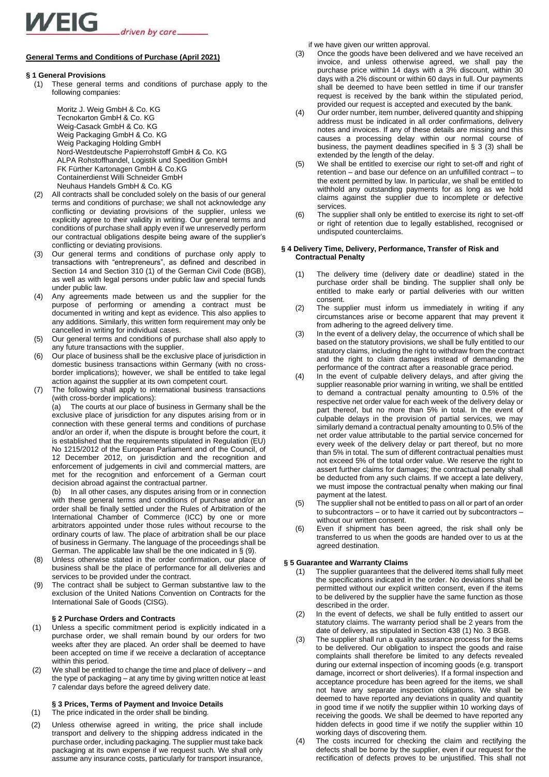# **General Terms and Conditions of Purchase (April 2021)**

# **§ 1 General Provisions**

(1) These general terms and conditions of purchase apply to the following companies:

> Moritz J. Weig GmbH & Co. KG Tecnokarton GmbH & Co. KG Weig-Casack GmbH & Co. KG Weig Packaging GmbH & Co. KG Weig Packaging Holding GmbH Nord-Westdeutsche Papierrohstoff GmbH & Co. KG ALPA Rohstoffhandel, Logistik und Spedition GmbH FK Fürther Kartonagen GmbH & Co.KG Containerdienst Willi Schneider GmbH Neuhaus Handels GmbH & Co. KG

- (2) All contracts shall be concluded solely on the basis of our general terms and conditions of purchase; we shall not acknowledge any conflicting or deviating provisions of the supplier, unless we explicitly agree to their validity in writing. Our general terms and conditions of purchase shall apply even if we unreservedly perform our contractual obligations despite being aware of the supplier's conflicting or deviating provisions.
- (3) Our general terms and conditions of purchase only apply to transactions with "entrepreneurs", as defined and described in Section 14 and Section 310 (1) of the German Civil Code (BGB), as well as with legal persons under public law and special funds under public law.
- (4) Any agreements made between us and the supplier for the purpose of performing or amending a contract must be documented in writing and kept as evidence. This also applies to any additions. Similarly, this written form requirement may only be cancelled in writing for individual cases.
- Our general terms and conditions of purchase shall also apply to any future transactions with the supplier.
- (6) Our place of business shall be the exclusive place of jurisdiction in domestic business transactions within Germany (with no crossborder implications); however, we shall be entitled to take legal action against the supplier at its own competent court.
- (7) The following shall apply to international business transactions (with cross-border implications):

(a) The courts at our place of business in Germany shall be the exclusive place of jurisdiction for any disputes arising from or in connection with these general terms and conditions of purchase and/or an order if, when the dispute is brought before the court, it is established that the requirements stipulated in Regulation (EU) No 1215/2012 of the European Parliament and of the Council, of 12 December 2012, on jurisdiction and the recognition and enforcement of judgements in civil and commercial matters, are met for the recognition and enforcement of a German court decision abroad against the contractual partner.

(b) In all other cases, any disputes arising from or in connection with these general terms and conditions of purchase and/or an order shall be finally settled under the Rules of Arbitration of the International Chamber of Commerce (ICC) by one or more arbitrators appointed under those rules without recourse to the ordinary courts of law. The place of arbitration shall be our place of business in Germany. The language of the proceedings shall be German. The applicable law shall be the one indicated in § (9).

- (8) Unless otherwise stated in the order confirmation, our place of business shall be the place of performance for all deliveries and services to be provided under the contract.
- The contract shall be subject to German substantive law to the exclusion of the United Nations Convention on Contracts for the International Sale of Goods (CISG).

# **§ 2 Purchase Orders and Contracts**

- (1) Unless a specific commitment period is explicitly indicated in a purchase order, we shall remain bound by our orders for two weeks after they are placed. An order shall be deemed to have been accepted on time if we receive a declaration of acceptance within this period.
- (2) We shall be entitled to change the time and place of delivery and the type of packaging – at any time by giving written notice at least 7 calendar days before the agreed delivery date.

# **§ 3 Prices, Terms of Payment and Invoice Details**

- (1) The price indicated in the order shall be binding.
- (2) Unless otherwise agreed in writing, the price shall include transport and delivery to the shipping address indicated in the purchase order, including packaging. The supplier must take back packaging at its own expense if we request such. We shall only assume any insurance costs, particularly for transport insurance,

if we have given our written approval.

- (3) Once the goods have been delivered and we have received an invoice, and unless otherwise agreed, we shall pay the purchase price within 14 days with a 3% discount, within 30 days with a 2% discount or within 60 days in full. Our payments shall be deemed to have been settled in time if our transfer request is received by the bank within the stipulated period, provided our request is accepted and executed by the bank.
- (4) Our order number, item number, delivered quantity and shipping address must be indicated in all order confirmations, delivery notes and invoices. If any of these details are missing and this causes a processing delay within our normal course of business, the payment deadlines specified in § 3 (3) shall be extended by the length of the delay.
- (5) We shall be entitled to exercise our right to set-off and right of retention – and base our defence on an unfulfilled contract – to the extent permitted by law. In particular, we shall be entitled to withhold any outstanding payments for as long as we hold claims against the supplier due to incomplete or defective services.
- (6) The supplier shall only be entitled to exercise its right to set-off or right of retention due to legally established, recognised or undisputed counterclaims.

# **§ 4 Delivery Time, Delivery, Performance, Transfer of Risk and Contractual Penalty**

- (1) The delivery time (delivery date or deadline) stated in the purchase order shall be binding. The supplier shall only be entitled to make early or partial deliveries with our written consent.
- (2) The supplier must inform us immediately in writing if any circumstances arise or become apparent that may prevent it from adhering to the agreed delivery time.
- (3) In the event of a delivery delay, the occurrence of which shall be based on the statutory provisions, we shall be fully entitled to our statutory claims, including the right to withdraw from the contract and the right to claim damages instead of demanding the performance of the contract after a reasonable grace period.
- (4) In the event of culpable delivery delays, and after giving the supplier reasonable prior warning in writing, we shall be entitled to demand a contractual penalty amounting to 0.5% of the respective net order value for each week of the delivery delay or part thereof, but no more than 5% in total. In the event of culpable delays in the provision of partial services, we may similarly demand a contractual penalty amounting to 0.5% of the net order value attributable to the partial service concerned for every week of the delivery delay or part thereof, but no more than 5% in total. The sum of different contractual penalties must not exceed 5% of the total order value. We reserve the right to assert further claims for damages; the contractual penalty shall be deducted from any such claims. If we accept a late delivery, we must impose the contractual penalty when making our final payment at the latest.
- (5) The supplier shall not be entitled to pass on all or part of an order to subcontractors – or to have it carried out by subcontractors – without our written consent.
- (6) Even if shipment has been agreed, the risk shall only be transferred to us when the goods are handed over to us at the agreed destination.

# **§ 5 Guarantee and Warranty Claims**

- (1) The supplier guarantees that the delivered items shall fully meet the specifications indicated in the order. No deviations shall be permitted without our explicit written consent, even if the items to be delivered by the supplier have the same function as those described in the order.
- (2) In the event of defects, we shall be fully entitled to assert our statutory claims. The warranty period shall be 2 years from the date of delivery, as stipulated in Section 438 (1) No. 3 BGB.
- (3) The supplier shall run a quality assurance process for the items to be delivered. Our obligation to inspect the goods and raise complaints shall therefore be limited to any defects revealed during our external inspection of incoming goods (e.g. transport damage, incorrect or short deliveries). If a formal inspection and acceptance procedure has been agreed for the items, we shall not have any separate inspection obligations. We shall be deemed to have reported any deviations in quality and quantity in good time if we notify the supplier within 10 working days of receiving the goods. We shall be deemed to have reported any hidden defects in good time if we notify the supplier within 10 working days of discovering them.
- (4) The costs incurred for checking the claim and rectifying the defects shall be borne by the supplier, even if our request for the rectification of defects proves to be unjustified. This shall not